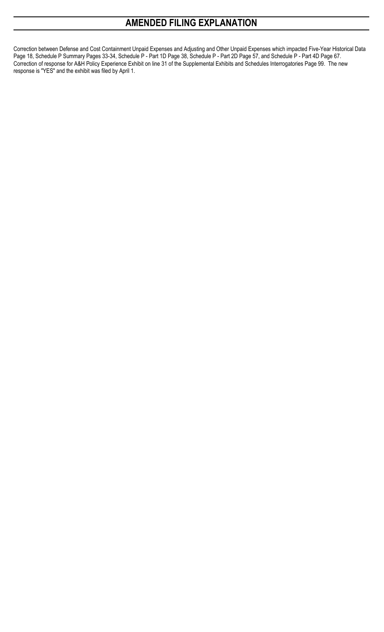# **AMENDED FILING EXPLANATION**

Correction between Defense and Cost Containment Unpaid Expenses and Adjusting and Other Unpaid Expenses which impacted Five-Year Historical Data Page 18, Schedule P Summary Pages 33-34, Schedule P - Part 1D Page 38, Schedule P - Part 2D Page 57, and Schedule P - Part 4D Page 67. Correction of response for A&H Policy Experience Exhibit on line 31 of the Supplemental Exhibits and Schedules Interrogatories Page 99. The new response is "YES" and the exhibit was filed by April 1.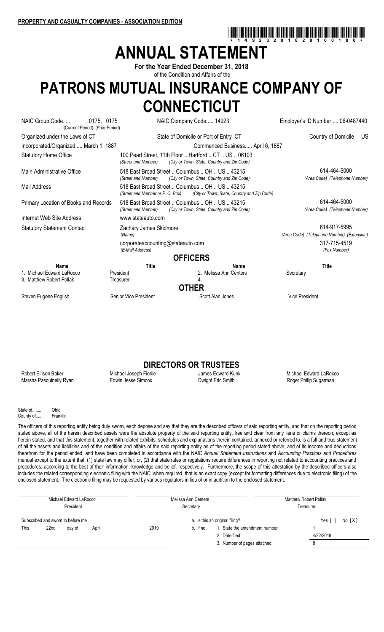# **ANNUAL STATEMENT**

**For the Year Ended December 31, 2018** of the Condition and Affairs of the

# **PATRONS MUTUAL INSURANCE COMPANY OF CONNECTICUT**

| NAIC Group Code<br>0175, 0175<br>(Current Period) (Prior Period) |                                                                              | NAIC Company Code 14923                                                      | Employer's ID Number 06-0487440                            |
|------------------------------------------------------------------|------------------------------------------------------------------------------|------------------------------------------------------------------------------|------------------------------------------------------------|
| Organized under the Laws of CT                                   |                                                                              | State of Domicile or Port of Entry CT                                        | Country of Domicile<br>US.                                 |
| Incorporated/Organized March 1, 1887                             |                                                                              | Commenced Business April 6, 1887                                             |                                                            |
| <b>Statutory Home Office</b>                                     | 100 Pearl Street, 11th Floor  Hartford  CT  US  06103<br>(Street and Number) | (City or Town, State, Country and Zip Code)                                  |                                                            |
| Main Administrative Office                                       | 518 East Broad Street  Columbus  OH  US  43215<br>(Street and Number)        | (City or Town, State, Country and Zip Code)                                  | 614-464-5000<br>(Area Code) (Telephone Number)             |
| Mail Address                                                     | 518 East Broad Street  Columbus  OH  US  43215                               | (Street and Number or P. O. Box) (City or Town, State, Country and Zip Code) |                                                            |
| Primary Location of Books and Records                            | 518 East Broad Street  Columbus  OH  US  43215<br>(Street and Number)        | (City or Town, State, Country and Zip Code)                                  | 614-464-5000<br>(Area Code) (Telephone Number)             |
| Internet Web Site Address                                        | www.stateauto.com                                                            |                                                                              |                                                            |
| <b>Statutory Statement Contact</b>                               | Zachary James Skidmore<br>(Name)                                             |                                                                              | 614-917-5995<br>(Area Code) (Telephone Number) (Extension) |
|                                                                  | corporateaccounting@stateauto.com<br>(E-Mail Address)                        |                                                                              | 317-715-4519<br>(Fax Number)                               |
|                                                                  |                                                                              | <b>OFFICERS</b>                                                              |                                                            |
| Name<br>1. Michael Edward LaRocco<br>3. Matthew Robert Pollak    | <b>Title</b><br>President<br>Treasurer                                       | Name<br>2. Melissa Ann Centers<br>4.<br><b>OTHER</b>                         | <b>Title</b><br>Secretary                                  |
| Steven Eugene English                                            | Senior Vice President                                                        | Scott Alan Jones                                                             | <b>Vice President</b>                                      |

# **DIRECTORS OR TRUSTEES**<br>Fiorile James Edward Kunk

Robert Ellison Baker **Michael Joseph Fiorile** James Edward Kunk Michael Edward LaRocco Marsha Pasquinelly Ryan **Edwin Jesse Simcox** Dwight Eric Smith **Example 2** Roger Philip Sugarman

\*14923201820100100\*

State of ...... Ohio County of..... Franklin

The officers of this reporting entity being duly sworn, each depose and say that they are the described officers of said reporting entity, and that on the reporting period stated above, all of the herein described assets were the absolute property of the said reporting entity, free and clear from any liens or claims thereon, except as herein stated, and that this statement, together with related exhibits, schedules and explanations therein contained, annexed or referred to, is a full and true statement of all the assets and liabilities and of the condition and affairs of the said reporting entity as of the reporting period stated above, and of its income and deductions therefrom for the period ended, and have been completed in accordance with the NAIC *Annual Statement Instructions* and *Accounting Practices and Procedures* manual except to the extent that: (1) state law may differ; or, (2) that state rules or regulations require differences in reporting not related to accounting practices and procedures, according to the best of their information, knowledge and belief, respectively. Furthermore, the scope of this attestation by the described officers also includes the related corresponding electronic filing with the NAIC, when required, that is an exact copy (except for formatting differences due to electronic filing) of the enclosed statement. The electronic filing may be requested by various regulators in lieu of or in addition to the enclosed statement.

| Michael Edward LaRocco<br>President |                         |  |  | Melissa Ann Centers<br>Secretary |          | <b>Matthew Robert Pollak</b><br>Treasurer |  |           |  |  |
|-------------------------------------|-------------------------|--|--|----------------------------------|----------|-------------------------------------------|--|-----------|--|--|
| Subscribed and sworn to before me   |                         |  |  |                                  |          | a. Is this an original filing?            |  | No [X]    |  |  |
| This                                | 22nd<br>April<br>dav of |  |  | 2019                             | b. If no | 1. State the amendment number             |  |           |  |  |
|                                     |                         |  |  |                                  |          | 2. Date filed                             |  | 4/22/2019 |  |  |
|                                     |                         |  |  |                                  |          | 3. Number of pages attached               |  | 8         |  |  |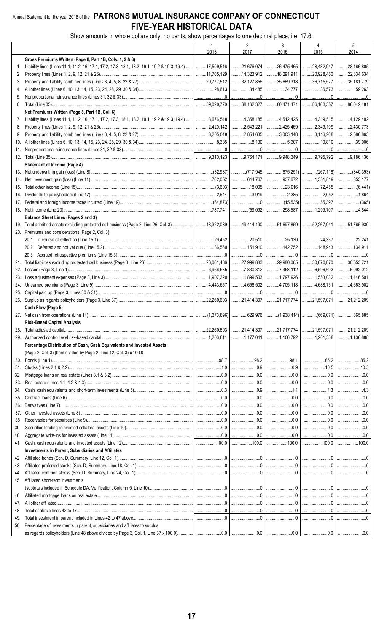#### Annual Statement for the year 2018 of the PATRONS MUTUAL INSURANCE COMPANY OF CONNECTICUT FIVE-YEAR HISTORICAL DATA

Show amounts in whole dollars only, no cents; show percentages to one decimal place, i.e. 17.6.

|     |                                                                                                                         | $\overline{1}$                                                            | $\overline{2}$                                                                                                                                                                                                                                                                                                                 | 3                                                                                                                                                                                                                                                                                                                                                                                                              | $\overline{4}$                                                                                                                                                                                                                                                                                 | 5                   |
|-----|-------------------------------------------------------------------------------------------------------------------------|---------------------------------------------------------------------------|--------------------------------------------------------------------------------------------------------------------------------------------------------------------------------------------------------------------------------------------------------------------------------------------------------------------------------|----------------------------------------------------------------------------------------------------------------------------------------------------------------------------------------------------------------------------------------------------------------------------------------------------------------------------------------------------------------------------------------------------------------|------------------------------------------------------------------------------------------------------------------------------------------------------------------------------------------------------------------------------------------------------------------------------------------------|---------------------|
|     |                                                                                                                         | 2018                                                                      | 2017                                                                                                                                                                                                                                                                                                                           | 2016                                                                                                                                                                                                                                                                                                                                                                                                           | 2015                                                                                                                                                                                                                                                                                           | 2014                |
|     | Gross Premiums Written (Page 8, Part 1B, Cols. 1, 2 & 3)                                                                |                                                                           |                                                                                                                                                                                                                                                                                                                                |                                                                                                                                                                                                                                                                                                                                                                                                                |                                                                                                                                                                                                                                                                                                |                     |
| 1.  | Liability lines (Lines 11.1, 11.2, 16, 17.1, 17.2, 17.3, 18.1, 18.2, 19.1, 19.2 & 19.3, 19.4)   17,509,516   21,676,074 |                                                                           |                                                                                                                                                                                                                                                                                                                                | 26,475,465                                                                                                                                                                                                                                                                                                                                                                                                     | 28,482,947                                                                                                                                                                                                                                                                                     | 28,466,805          |
| 2.  |                                                                                                                         |                                                                           | 14,323,912                                                                                                                                                                                                                                                                                                                     | 18,291,911                                                                                                                                                                                                                                                                                                                                                                                                     | 20,928,460                                                                                                                                                                                                                                                                                     | $\ldots$ 22,334,634 |
| 3.  |                                                                                                                         |                                                                           | 32,127,856                                                                                                                                                                                                                                                                                                                     | 35,669,318                                                                                                                                                                                                                                                                                                                                                                                                     | 36,715,577                                                                                                                                                                                                                                                                                     | 35,181,779          |
| 4.  |                                                                                                                         |                                                                           | 34,485                                                                                                                                                                                                                                                                                                                         | 34,777                                                                                                                                                                                                                                                                                                                                                                                                         | 36,573                                                                                                                                                                                                                                                                                         | 59,263              |
| 5.  |                                                                                                                         |                                                                           | $\ldots$ 68,162,327                                                                                                                                                                                                                                                                                                            | 0 <u></u> 0<br>$\ldots$ 80,471,471 $\ldots$ 86,163,557                                                                                                                                                                                                                                                                                                                                                         | <u></u> 0                                                                                                                                                                                                                                                                                      | 0<br>36,042,481     |
|     | Net Premiums Written (Page 8, Part 1B, Col. 6)                                                                          |                                                                           |                                                                                                                                                                                                                                                                                                                                |                                                                                                                                                                                                                                                                                                                                                                                                                |                                                                                                                                                                                                                                                                                                |                     |
| 7.  | Liability lines (Lines 11.1, 11.2, 16, 17.1, 17.2, 17.3, 18.1, 18.2, 19.1, 19.2 & 19.3, 19.4)   3,676,548               |                                                                           | 1.1114,358,185                                                                                                                                                                                                                                                                                                                 |                                                                                                                                                                                                                                                                                                                                                                                                                | $\dots$ 4,512,425 4,319,515 4,129,492                                                                                                                                                                                                                                                          |                     |
| 8.  |                                                                                                                         | 2,420,142                                                                 | $\ldots$ 2,543,221                                                                                                                                                                                                                                                                                                             | 2,425,469                                                                                                                                                                                                                                                                                                                                                                                                      | 2,349,199                                                                                                                                                                                                                                                                                      | 2,430,773           |
| 9.  |                                                                                                                         | 3,205,048                                                                 | $\ldots$ 2,854,635                                                                                                                                                                                                                                                                                                             | 3,005,148                                                                                                                                                                                                                                                                                                                                                                                                      | 3,116,268                                                                                                                                                                                                                                                                                      | 3.2,586,865         |
| 10. |                                                                                                                         |                                                                           | $\ldots$ 8,130                                                                                                                                                                                                                                                                                                                 | 5,307                                                                                                                                                                                                                                                                                                                                                                                                          | 10,810                                                                                                                                                                                                                                                                                         | 39,006              |
| 11. |                                                                                                                         |                                                                           | 0 <u></u> 0                                                                                                                                                                                                                                                                                                                    |                                                                                                                                                                                                                                                                                                                                                                                                                |                                                                                                                                                                                                                                                                                                | 0                   |
|     |                                                                                                                         |                                                                           | $$ 9,764,171                                                                                                                                                                                                                                                                                                                   | 0.948,349                                                                                                                                                                                                                                                                                                                                                                                                      |                                                                                                                                                                                                                                                                                                | 9,795,792 9,186,136 |
|     | <b>Statement of Income (Page 4)</b>                                                                                     |                                                                           |                                                                                                                                                                                                                                                                                                                                |                                                                                                                                                                                                                                                                                                                                                                                                                |                                                                                                                                                                                                                                                                                                |                     |
|     |                                                                                                                         | $\vert$ (32,937) (717,945) (675,251) (267,118) (840,393)                  |                                                                                                                                                                                                                                                                                                                                |                                                                                                                                                                                                                                                                                                                                                                                                                |                                                                                                                                                                                                                                                                                                |                     |
| 14. |                                                                                                                         |                                                                           |                                                                                                                                                                                                                                                                                                                                |                                                                                                                                                                                                                                                                                                                                                                                                                |                                                                                                                                                                                                                                                                                                | 853,177             |
|     |                                                                                                                         | $\left  \dots \dots \dots \dots (3,603) \right  \dots \dots \dots 18,005$ |                                                                                                                                                                                                                                                                                                                                | 23,016                                                                                                                                                                                                                                                                                                                                                                                                         |                                                                                                                                                                                                                                                                                                |                     |
|     |                                                                                                                         |                                                                           | $\ldots$ 3,919                                                                                                                                                                                                                                                                                                                 |                                                                                                                                                                                                                                                                                                                                                                                                                | $\ldots \ldots \ldots \ldots \ldots \ldots \ldots 2,052$                                                                                                                                                                                                                                       | 1,864               |
|     |                                                                                                                         |                                                                           |                                                                                                                                                                                                                                                                                                                                |                                                                                                                                                                                                                                                                                                                                                                                                                |                                                                                                                                                                                                                                                                                                |                     |
|     |                                                                                                                         |                                                                           |                                                                                                                                                                                                                                                                                                                                | $\ldots$ (59,092) 298,587                                                                                                                                                                                                                                                                                                                                                                                      | 1, 299, 707                                                                                                                                                                                                                                                                                    | 1.1.1.1.1.4.844     |
|     | Balance Sheet Lines (Pages 2 and 3)                                                                                     |                                                                           |                                                                                                                                                                                                                                                                                                                                |                                                                                                                                                                                                                                                                                                                                                                                                                |                                                                                                                                                                                                                                                                                                |                     |
|     | 19. Total admitted assets excluding protected cell business (Page 2, Line 26, Col. 3)  48,322,039                       |                                                                           | 49,414,190                                                                                                                                                                                                                                                                                                                     | 51,697,859                                                                                                                                                                                                                                                                                                                                                                                                     | 32,267,941                                                                                                                                                                                                                                                                                     | 30.51,765.930       |
|     | 20. Premiums and considerations (Page 2, Col. 3):                                                                       |                                                                           |                                                                                                                                                                                                                                                                                                                                |                                                                                                                                                                                                                                                                                                                                                                                                                |                                                                                                                                                                                                                                                                                                |                     |
|     |                                                                                                                         | 29.452                                                                    | $\ldots$ 20,510                                                                                                                                                                                                                                                                                                                |                                                                                                                                                                                                                                                                                                                                                                                                                |                                                                                                                                                                                                                                                                                                | $\ldots$ 22,241     |
|     |                                                                                                                         | $1$ 36,569                                                                | 151.910                                                                                                                                                                                                                                                                                                                        |                                                                                                                                                                                                                                                                                                                                                                                                                | 148,943                                                                                                                                                                                                                                                                                        | 134.911             |
|     |                                                                                                                         |                                                                           | $\begin{array}{l} \rule{0.2cm}{0.15mm} \ldots \end{array} \qquad \begin{array}{ll} \rule{0.2cm}{0.15mm} \ldots \end{array} \qquad \begin{array}{ll} \rule{0.2cm}{0.15mm} \ldots \end{array} \qquad \begin{array}{ll} \rule{0.2cm}{0.15mm} \ldots \end{array} \qquad \begin{array}{ll} \rule{0.2cm}{0.15mm} \ldots \end{array}$ | $\begin{array}{lll} \rule{2mm}{2mm} \rule{2mm}{2mm} \rule{2mm}{2mm} \rule{2mm}{2mm} \rule{2mm}{2mm} \rule{2mm}{2mm} \rule{2mm}{2mm} \rule{2mm}{2mm} \rule{2mm}{2mm} \rule{2mm}{2mm} \rule{2mm}{2mm} \rule{2mm}{2mm} \rule{2mm}{2mm} \rule{2mm}{2mm} \rule{2mm}{2mm} \rule{2mm}{2mm} \rule{2mm}{2mm} \rule{2mm}{2mm} \rule{2mm}{2mm} \rule{2mm}{2mm} \rule{2mm}{2mm} \rule{2mm}{2mm} \rule{2mm}{2mm} \rule{2mm$ | 0                                                                                                                                                                                                                                                                                              | 0                   |
|     |                                                                                                                         |                                                                           | $\ldots$ 27,999,883                                                                                                                                                                                                                                                                                                            |                                                                                                                                                                                                                                                                                                                                                                                                                | 30,670,870                                                                                                                                                                                                                                                                                     | 30,553,721          |
|     |                                                                                                                         | 6,966,535                                                                 | 7,830,312                                                                                                                                                                                                                                                                                                                      |                                                                                                                                                                                                                                                                                                                                                                                                                | $\ldots$ 6,596,693                                                                                                                                                                                                                                                                             | $\ldots$ 6,092,012  |
| 23. |                                                                                                                         | $\vert$ 1,907,320                                                         | $\ldots$ 1,899,503                                                                                                                                                                                                                                                                                                             | 1,797,926                                                                                                                                                                                                                                                                                                                                                                                                      | 1,553,032                                                                                                                                                                                                                                                                                      | 1,446,501           |
| 24. |                                                                                                                         |                                                                           | 4,656,502                                                                                                                                                                                                                                                                                                                      | 1.1705,118                                                                                                                                                                                                                                                                                                                                                                                                     | 4,688,731                                                                                                                                                                                                                                                                                      | 4,663,902           |
|     |                                                                                                                         |                                                                           | 0                                                                                                                                                                                                                                                                                                                              | $\begin{array}{c} \rule{0.2cm}{0.15mm} \rule{0.2cm}{0.15mm} \rule{0.2cm}{0.15mm} \rule{0.2cm}{0.15mm} \rule{0.2cm}{0.15mm} \rule{0.2cm}{0.15mm} \rule{0.2cm}{0.15mm} \rule{0.2cm}{0.15mm} \rule{0.2cm}{0.15mm} \rule{0.2cm}{0.15mm} \rule{0.2cm}{0.15mm} \rule{0.2cm}{0.15mm} \rule{0.2cm}{0.15mm} \rule{0.2cm}{0.15mm} \rule{0.2cm}{0.15mm} \rule{$                                                           | 0                                                                                                                                                                                                                                                                                              |                     |
|     |                                                                                                                         | $\vert$ 22,260,603                                                        | 21,414,307                                                                                                                                                                                                                                                                                                                     | 21,717,774                                                                                                                                                                                                                                                                                                                                                                                                     | 21,597,071                                                                                                                                                                                                                                                                                     | 21,212,209          |
|     | Cash Flow (Page 5)                                                                                                      |                                                                           |                                                                                                                                                                                                                                                                                                                                |                                                                                                                                                                                                                                                                                                                                                                                                                |                                                                                                                                                                                                                                                                                                |                     |
|     |                                                                                                                         |                                                                           |                                                                                                                                                                                                                                                                                                                                |                                                                                                                                                                                                                                                                                                                                                                                                                |                                                                                                                                                                                                                                                                                                |                     |
|     | <b>Risk-Based Capital Analysis</b>                                                                                      |                                                                           |                                                                                                                                                                                                                                                                                                                                |                                                                                                                                                                                                                                                                                                                                                                                                                |                                                                                                                                                                                                                                                                                                |                     |
| 28. |                                                                                                                         |                                                                           |                                                                                                                                                                                                                                                                                                                                |                                                                                                                                                                                                                                                                                                                                                                                                                |                                                                                                                                                                                                                                                                                                |                     |
|     |                                                                                                                         |                                                                           | 1,177,041                                                                                                                                                                                                                                                                                                                      |                                                                                                                                                                                                                                                                                                                                                                                                                | $\ldots$ 1,106,792 $\ldots$ 1,201,358 1,136,888                                                                                                                                                                                                                                                |                     |
|     | Percentage Distribution of Cash, Cash Equivalents and Invested Assets                                                   |                                                                           |                                                                                                                                                                                                                                                                                                                                |                                                                                                                                                                                                                                                                                                                                                                                                                |                                                                                                                                                                                                                                                                                                |                     |
|     | (Page 2, Col. 3) (Item divided by Page 2, Line 12, Col. 3) x 100.0                                                      |                                                                           |                                                                                                                                                                                                                                                                                                                                |                                                                                                                                                                                                                                                                                                                                                                                                                |                                                                                                                                                                                                                                                                                                |                     |
| 30. |                                                                                                                         |                                                                           | 98.2                                                                                                                                                                                                                                                                                                                           |                                                                                                                                                                                                                                                                                                                                                                                                                | 98.1   85.2                                                                                                                                                                                                                                                                                    | $\ldots$            |
| 31. |                                                                                                                         |                                                                           | $\begin{array}{c} 0.9 \\ \cdots \end{array}$                                                                                                                                                                                                                                                                                   | $\ldots$ 0.9                                                                                                                                                                                                                                                                                                                                                                                                   |                                                                                                                                                                                                                                                                                                | 10.5                |
| 32. |                                                                                                                         |                                                                           |                                                                                                                                                                                                                                                                                                                                |                                                                                                                                                                                                                                                                                                                                                                                                                | $\ldots$ 0.0                                                                                                                                                                                                                                                                                   |                     |
| 33. |                                                                                                                         |                                                                           | 0.0                                                                                                                                                                                                                                                                                                                            |                                                                                                                                                                                                                                                                                                                                                                                                                |                                                                                                                                                                                                                                                                                                |                     |
| 34. |                                                                                                                         |                                                                           |                                                                                                                                                                                                                                                                                                                                | 1.1                                                                                                                                                                                                                                                                                                                                                                                                            | $\ldots$ 4.3                                                                                                                                                                                                                                                                                   | $\dots$ 4.3         |
| 35. |                                                                                                                         |                                                                           |                                                                                                                                                                                                                                                                                                                                |                                                                                                                                                                                                                                                                                                                                                                                                                |                                                                                                                                                                                                                                                                                                | $\ldots$ 0.0        |
|     |                                                                                                                         |                                                                           |                                                                                                                                                                                                                                                                                                                                | $\ldots$ 0.0                                                                                                                                                                                                                                                                                                                                                                                                   | $\begin{array}{l} \rule{0.2cm}{0.15mm} \ldots \end{array} \begin{array}{l} \rule{0.2cm}{0.15mm} \ldots \end{array} \begin{array}{l} \rule{0.2cm}{0.15mm} \ldots \end{array} \begin{array}{l} \rule{0.2cm}{0.15mm} \ldots \end{array} \begin{array}{l} \rule{0.2cm}{0.15mm} \ldots \end{array}$ | $\ldots$ 0.0        |
| 37. |                                                                                                                         |                                                                           |                                                                                                                                                                                                                                                                                                                                | $\ldots$ 0.0                                                                                                                                                                                                                                                                                                                                                                                                   |                                                                                                                                                                                                                                                                                                | $\ldots$ 0.0        |
| 38  |                                                                                                                         |                                                                           | $\begin{array}{ccc}\n&\mathbf{0.0}\n\end{array}$                                                                                                                                                                                                                                                                               | $\ldots$ 0.0                                                                                                                                                                                                                                                                                                                                                                                                   |                                                                                                                                                                                                                                                                                                |                     |
| 39. |                                                                                                                         |                                                                           | $\begin{array}{ccc}\n&\mathbf{0.0}\n\end{array}$                                                                                                                                                                                                                                                                               |                                                                                                                                                                                                                                                                                                                                                                                                                |                                                                                                                                                                                                                                                                                                |                     |
| 40. |                                                                                                                         |                                                                           |                                                                                                                                                                                                                                                                                                                                |                                                                                                                                                                                                                                                                                                                                                                                                                |                                                                                                                                                                                                                                                                                                | 0.0                 |
|     | Investments in Parent, Subsidiaries and Affiliates                                                                      |                                                                           |                                                                                                                                                                                                                                                                                                                                |                                                                                                                                                                                                                                                                                                                                                                                                                |                                                                                                                                                                                                                                                                                                |                     |
|     |                                                                                                                         |                                                                           |                                                                                                                                                                                                                                                                                                                                |                                                                                                                                                                                                                                                                                                                                                                                                                |                                                                                                                                                                                                                                                                                                |                     |
| 43. |                                                                                                                         |                                                                           |                                                                                                                                                                                                                                                                                                                                |                                                                                                                                                                                                                                                                                                                                                                                                                |                                                                                                                                                                                                                                                                                                |                     |
| 44. |                                                                                                                         |                                                                           |                                                                                                                                                                                                                                                                                                                                |                                                                                                                                                                                                                                                                                                                                                                                                                |                                                                                                                                                                                                                                                                                                |                     |
|     | 45. Affiliated short-term investments                                                                                   |                                                                           |                                                                                                                                                                                                                                                                                                                                |                                                                                                                                                                                                                                                                                                                                                                                                                |                                                                                                                                                                                                                                                                                                |                     |
|     |                                                                                                                         |                                                                           |                                                                                                                                                                                                                                                                                                                                |                                                                                                                                                                                                                                                                                                                                                                                                                |                                                                                                                                                                                                                                                                                                |                     |
|     |                                                                                                                         |                                                                           |                                                                                                                                                                                                                                                                                                                                |                                                                                                                                                                                                                                                                                                                                                                                                                |                                                                                                                                                                                                                                                                                                |                     |
|     |                                                                                                                         |                                                                           |                                                                                                                                                                                                                                                                                                                                |                                                                                                                                                                                                                                                                                                                                                                                                                |                                                                                                                                                                                                                                                                                                |                     |
| 48. |                                                                                                                         |                                                                           |                                                                                                                                                                                                                                                                                                                                |                                                                                                                                                                                                                                                                                                                                                                                                                |                                                                                                                                                                                                                                                                                                |                     |
| 49. |                                                                                                                         |                                                                           |                                                                                                                                                                                                                                                                                                                                |                                                                                                                                                                                                                                                                                                                                                                                                                |                                                                                                                                                                                                                                                                                                |                     |
|     | 50. Percentage of investments in parent, subsidiaries and affiliates to surplus                                         |                                                                           |                                                                                                                                                                                                                                                                                                                                |                                                                                                                                                                                                                                                                                                                                                                                                                |                                                                                                                                                                                                                                                                                                |                     |
|     | as regards policyholders (Line 48 above divided by Page 3, Col. 1, Line 37 x 100.0)                                     |                                                                           | 0 <sub>0</sub><br>0.0                                                                                                                                                                                                                                                                                                          | 00 <sub>1</sub>                                                                                                                                                                                                                                                                                                                                                                                                | 0 <sub>0</sub>                                                                                                                                                                                                                                                                                 | 0 <sub>0</sub>      |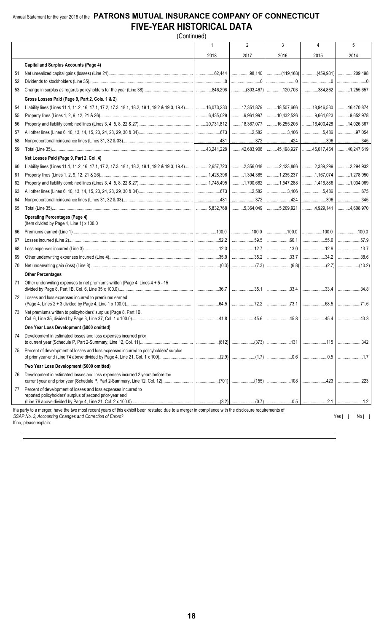#### Annual Statement for the year 2018 of the **PATRONS MUTUAL INSURANCE COMPANY OF CONNECTICUT FIVE-YEAR HISTORICAL DATA** (Continued)

|     |                                                                                                                                                                                                                    |      | $\overline{2}$                                                 | 3             | 4                                                             | 5            |
|-----|--------------------------------------------------------------------------------------------------------------------------------------------------------------------------------------------------------------------|------|----------------------------------------------------------------|---------------|---------------------------------------------------------------|--------------|
|     |                                                                                                                                                                                                                    | 2018 | 2017                                                           | 2016          | 2015                                                          | 2014         |
|     | <b>Capital and Surplus Accounts (Page 4)</b>                                                                                                                                                                       |      |                                                                |               |                                                               |              |
|     |                                                                                                                                                                                                                    |      |                                                                |               | │(119,168)│(459,981)│209,498                                  |              |
| 52. |                                                                                                                                                                                                                    |      |                                                                |               |                                                               |              |
|     |                                                                                                                                                                                                                    |      |                                                                |               |                                                               |              |
|     | Gross Losses Paid (Page 9, Part 2, Cols. 1 & 2)                                                                                                                                                                    |      |                                                                |               |                                                               |              |
| 54. | Liability lines (Lines 11.1, 11.2, 16, 17.1, 17.2, 17.3, 18.1, 18.2, 19.1, 19.2 & 19.3, 19.4) 16,073,233 17,351,879 18,97666 18,946,530 16,470,874                                                                 |      |                                                                |               |                                                               |              |
| 55. |                                                                                                                                                                                                                    |      |                                                                |               | $\ldots$ 10,432,526 9,664,623 9,652,978                       |              |
| 56. |                                                                                                                                                                                                                    |      |                                                                |               | $\ldots$ 16,255,205 16,400,428 14,026,367                     |              |
| 57. |                                                                                                                                                                                                                    |      |                                                                |               | 3,106   5,486   97,054                                        |              |
| 58. |                                                                                                                                                                                                                    |      |                                                                |               |                                                               |              |
| 59. |                                                                                                                                                                                                                    |      |                                                                |               |                                                               |              |
|     | Net Losses Paid (Page 9, Part 2, Col. 4)                                                                                                                                                                           |      |                                                                |               |                                                               |              |
| 60. | Liability lines (Lines 11.1, 11.2, 16, 17.1, 17.2, 17.3, 18.1, 18.2, 19.1, 19.2 & 19.3, 19.4)   2,657,723   2,423,866   2,339,299                                                                                  |      |                                                                |               |                                                               |              |
| 61. |                                                                                                                                                                                                                    |      |                                                                |               | 1,235,237   1,167,074   1,278,950                             |              |
| 62. |                                                                                                                                                                                                                    |      |                                                                |               |                                                               |              |
| 63. |                                                                                                                                                                                                                    |      |                                                                |               | 3,106   5,486   675                                           |              |
| 64. |                                                                                                                                                                                                                    |      |                                                                |               |                                                               |              |
| 65. |                                                                                                                                                                                                                    |      |                                                                |               |                                                               |              |
|     | <b>Operating Percentages (Page 4)</b><br>(Item divided by Page 4, Line 1) x 100.0                                                                                                                                  |      |                                                                |               |                                                               |              |
| 66. |                                                                                                                                                                                                                    |      | 100.0                                                          |               | $\frac{1}{10000}$                                             |              |
| 67. |                                                                                                                                                                                                                    |      | $\ldots$ 59.5                                                  | 60.1          | $\ldots$                                                      | 57.9         |
| 68. |                                                                                                                                                                                                                    |      | $\ldots \ldots \ldots \ldots \ldots \ldots \ldots \ldots 12.7$ |               |                                                               |              |
| 69. |                                                                                                                                                                                                                    |      |                                                                | 33.7          |                                                               |              |
| 70. |                                                                                                                                                                                                                    |      |                                                                |               |                                                               |              |
|     | <b>Other Percentages</b>                                                                                                                                                                                           |      |                                                                |               |                                                               |              |
|     | 71. Other underwriting expenses to net premiums written (Page 4, Lines 4 + 5 - 15                                                                                                                                  |      |                                                                |               | $\ldots$ 33.4 $\sim$ 33.4 $\sim$ 33.4 $\sim$ 33.4 $\sim$ 34.8 |              |
|     | 72. Losses and loss expenses incurred to premiums earned                                                                                                                                                           |      |                                                                |               |                                                               |              |
|     |                                                                                                                                                                                                                    |      |                                                                | $\ldots$ 73.1 |                                                               |              |
|     | 73. Net premiums written to policyholders' surplus (Page 8, Part 1B,                                                                                                                                               |      |                                                                |               |                                                               |              |
|     | One Year Loss Development (\$000 omitted)                                                                                                                                                                          |      |                                                                |               |                                                               |              |
|     | 74. Development in estimated losses and loss expenses incurred prior                                                                                                                                               |      |                                                                |               |                                                               |              |
|     | 75. Percent of development of losses and loss expenses incurred to policyholders' surplus                                                                                                                          |      |                                                                |               |                                                               |              |
|     | Two Year Loss Development (\$000 omitted)                                                                                                                                                                          |      |                                                                |               |                                                               |              |
|     | 76. Development in estimated losses and loss expenses incurred 2 years before the                                                                                                                                  |      |                                                                |               |                                                               |              |
|     | 77. Percent of development of losses and loss expenses incurred to<br>reported policyholders' surplus of second prior-year end                                                                                     |      |                                                                |               |                                                               |              |
|     |                                                                                                                                                                                                                    |      |                                                                |               |                                                               |              |
|     | If a party to a merger, have the two most recent years of this exhibit been restated due to a merger in compliance with the disclosure requirements of<br>SSAP No. 3, Accounting Changes and Correction of Errors? |      |                                                                |               |                                                               | No[<br>Yes[] |

If no, please explain: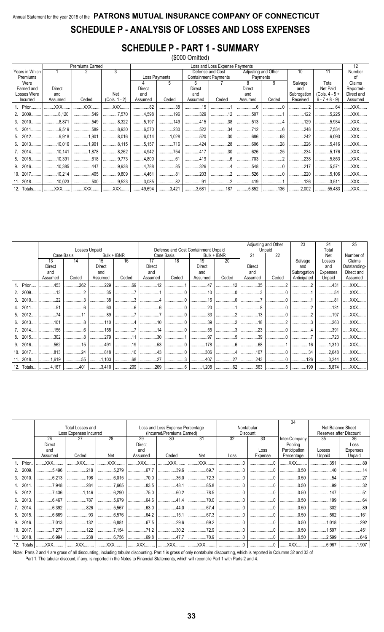# Annual Statement for the year 2018 of the PATRONS MUTUAL INSURANCE COMPANY OF CONNECTICUT SCHEDULE P - ANALYSIS OF LOSSES AND LOSS EXPENSES

## **SCHEDULE P - PART 1 - SUMMARY**

|     |                |                | Premiums Earned |                 |               |                                          |                             | Loss and Loss Expense Payments |                     |          |             |                  | 12         |
|-----|----------------|----------------|-----------------|-----------------|---------------|------------------------------------------|-----------------------------|--------------------------------|---------------------|----------|-------------|------------------|------------|
|     | Years in Which |                |                 | 3               |               |                                          | Defense and Cost            |                                | Adjusting and Other |          | 10          | 11               | Number     |
|     | Premiums       |                |                 |                 | Loss Payments |                                          | <b>Containment Payments</b> |                                | Payments            |          |             |                  | οf         |
|     | Were           |                |                 |                 |               | 5                                        | 6                           |                                | 8                   | 9        | Salvage     | Total            | Claims     |
|     | Earned and     | Direct         |                 |                 | Direct        |                                          | Direct                      |                                | Direct              |          | and         | Net Paid         | Reported-  |
|     | Losses Were    | and            |                 | Net             | and           |                                          | and                         |                                | and                 |          | Subrogation | $(Cols. 4 - 5 +$ | Direct and |
|     | Incurred       | Assumed        | Ceded           | $(Cols. 1 - 2)$ | Assumed       | Ceded                                    | Assumed                     | Ceded                          | Assumed             | Ceded    | Received    | $6 - 7 + 8 - 9$  | Assumed    |
|     | 1. Prior       | XXX            | XXX             | XXX             | .82           | 38                                       | 15                          |                                |                     |          |             | .64              | XXX        |
|     | 2009.          | .8,120         | .549            | 7,570           | 4,598         | 196                                      | 329                         | 12                             | .507                |          | .122        | .5,225<br>       | XXX        |
|     | 3. 2010.       | $\ldots$ 8,871 | 549             | $\ldots$ 8,322  | 5,197         | 149                                      | 415                         | 38                             | 513                 |          | 129         | 5,934            | XXX        |
| 4.  | 2011           | .9,519         | .589            | $\ldots$ 8,930  | 6.570         | 230                                      | 522                         | 34                             | 712                 |          | .248        | .7,534           | XXX        |
| 5.  | 2012.          | .9,918         | 1.901<br>       | .8.016<br>      | 6,014         | 1,028                                    | 520                         | 30                             | .686<br>.           | .68<br>. | .242<br>.   | .6.093<br>       | XXX        |
| 6.  | 2013.          | .10,016        | 1,901           | 1.15            | 3.157         | 716                                      | 424                         | 28                             | 606                 | 28       | 226         | .5,416<br>       | XXX        |
|     | 7. 2014.       | .10,141        | .1.878          | 8,262           | 4,942         | 754                                      | 417                         | 30                             | .626                | .25      | .234        | .5.176           | XXX        |
| 8.  | 2015.          | .10.391        | .618            | .9.773<br>      | 4,800         | 61                                       | 419                         | $\kappa$<br>                   | .703                | .        | 238         | .5.853           | XXX        |
| 9.  | 2016.          | 10,385         | 447             | .9.938<br>      | 4,788         | 85                                       | 326                         | . 4                            | .548                |          | 217         | .5,571           | XXX        |
|     | 10.2017        | .10,214        | .405            | 9,809           | 4,461         | 81                                       | .203<br>                    | .                              | .526                | .        | 220         | .5,106<br>.      | XXX        |
| 11. | 2018.          | 10,023         | 500             | $\ldots$ 9,523  | 3,085         | $\ldots \ldots \ldots \ldots \ldots$ .82 | 91                          |                                | 419                 |          | 126         | 3,511            | XXX        |
|     | 12. Totals     | $.$ $XXX$      | XXX             | <b>XXX</b>      | 49,694        | 3,421                                    | 3,681                       | 187                            | 5,852               | 136      | 2,002       | $\dots$ 55,483   | XXX        |

|            |           |            |               |             |               |                                     |                |             |         | Adjusting and Other |             | 24          | 25           |
|------------|-----------|------------|---------------|-------------|---------------|-------------------------------------|----------------|-------------|---------|---------------------|-------------|-------------|--------------|
|            |           |            | Losses Unpaid |             |               | Defense and Cost Containment Unpaid |                |             |         | Unpaid              |             | Total       |              |
|            |           | Case Basis |               | Bulk + IBNR |               | Case Basis                          |                | Bulk + IBNR | 21      | 22                  |             | Net         | Number of    |
|            | 13        | 14         | 15            | 16          | 17            | 18                                  | 19             | 20          |         |                     | Salvage     | Losses      | Claims       |
|            | Direct    |            | Direct        |             | Direct        |                                     | Direct         |             | Direct  |                     | and         | and         | Outstanding- |
|            | and       |            | and           |             | and           |                                     | and            |             | and     |                     | Subrogation | Expenses    | Direct and   |
|            | Assumed   | Ceded      | Assumed       | Ceded       | Assumed       | Ceded                               | Assumed        | Ceded       | Assumed | Ceded               | Anticipated | Unpaid      | Assumed      |
| 1. Prior.  | .453      | .262       | .229          | 69          | 12            |                                     | $\Delta$ 7     | 12          | 35      |                     |             | .431        | .XXX         |
| 2. 2009.   | 13        |            | .35           |             |               |                                     | 10             |             |         |                     |             | 54          | .XXX.        |
| 3. 2010.   | .22       |            | .38           |             |               |                                     | 16             |             |         |                     |             | 81          | XXX          |
| 4. 2011    | 51        |            | .60           |             | $\epsilon$    |                                     | 20             |             |         |                     |             | 131         | XXX          |
| 5. 2012.   | 74        |            | .89           |             |               |                                     | .33            |             | 13      |                     |             | 197         | .XXX         |
| 6. 2013.   | .101      |            | 110           |             | 10            |                                     | 39             |             | 18      |                     |             | 263         | XXX          |
| 7. 2014    | .156      |            | .158          |             | 14            |                                     | .55            |             | 23      |                     |             | .391        | XXX          |
| 8. 2015    | 302       |            | .279          | 11          | 30            |                                     | .97            |             | .39     | .                   |             | .723        | XXX          |
| 9. 2016.   | .562      | 15         | .491          | 19          | 53            | . 4                                 | 178            | 6           | 68      |                     | .16         | 1,310       | XXX          |
| 10. 2017.  | .813      | 24         | .818          | 10          | 43            |                                     | .306           |             | .107    |                     | .34         | .2,048<br>. | XXX          |
| 11. 2018   | 1,619     | .55        | 1,103         | 68          | 27            |                                     | 407            | 27          | .243    |                     | 126         | 3,244       | XXX          |
| 12. Totals | $1$ 4,167 | $ $ 401    | $1$ 3,410     |             | 209   209   6 |                                     | $\ldots$ 1,208 | $1$ 62      | 563   5 |                     | 199         | 8.874       | XXX          |

|     |            |               | Total Losses and<br>Loss Expenses Incurred |             |            | Loss and Loss Expense Percentage<br>(Incurred/Premiums Earned) |            |                 | Nontabular<br><b>Discount</b> | 34            |            | Net Balance Sheet<br>Reserves after Discount |
|-----|------------|---------------|--------------------------------------------|-------------|------------|----------------------------------------------------------------|------------|-----------------|-------------------------------|---------------|------------|----------------------------------------------|
|     |            | 26            | 27                                         | 28          | 29         | 30                                                             | 31         | $\overline{32}$ | 33                            | Inter-Company | 35         | 36                                           |
|     |            | <b>Direct</b> |                                            |             | Direct     |                                                                |            |                 |                               | Pooling       |            | Loss                                         |
|     |            | and           |                                            |             | and        |                                                                |            |                 | Loss                          | Participation | Losses     | Expenses                                     |
|     |            | Assumed       | Ceded                                      | Net         | Assumed    | Ceded                                                          | Net        | Loss            | Expense                       | Percentage    | Unpaid     | Unpaid                                       |
|     | 1. Prior.  | XXX           | .XXX                                       | XXX.        | .XXX.      | .XXX                                                           | XXX        |                 |                               | XXX.          | .351       |                                              |
| 2.  | 2009       | .5.496        | .218<br>                                   | .5.279      | 67.7       | $\ldots$ 39.6                                                  | .69.7      |                 |                               | .0.50         |            |                                              |
| 3.  | 2010       | .6.213        | 198<br>                                    | .6.015<br>  | .70.0<br>. | .36.0<br>.                                                     | .72.3      |                 |                               | .0.50         | 54         |                                              |
|     | 4. 2011    | 7.948         | .284                                       | 7.665       | .83.5      | 48.1                                                           | .85.8      |                 |                               | .0.50         | .99        |                                              |
|     | 5. 2012    | 7.436         | 1.146<br>                                  | .6.290      |            | .60.2<br>.                                                     | .78.5      |                 |                               | .0.50         | 147        |                                              |
| 6.  | 2013       | .6.467        | .787                                       | .5.679      | .64.6      |                                                                | .70.0<br>  |                 |                               | .0.50         | 199        |                                              |
|     | 7. 2014    | .6,392        | .826                                       | .5,567<br>  | .63.0      | .44.0<br>                                                      | .67.4<br>. |                 |                               | .0.50         | .302       |                                              |
| 8.  | 2015.      | 6,669         | 93                                         | .6,576<br>. | .64.2<br>. | .15.1<br>.                                                     | 67.3<br>.  |                 |                               | .0.50         | 562        |                                              |
| 9.  | 2016.      | .7.013        | 132                                        | .6.881      | .67.5      | .29.6<br>.                                                     | .69.2<br>  |                 |                               | .0.50         | .1.018     | 292                                          |
| 10. | 2017       | 7,277         | 122<br>                                    | .7.154      | .71.2<br>. | .30.2<br>.                                                     | .72.9      |                 |                               | .0.50         | 1.597<br>  |                                              |
|     | 11. 2018.  | 6,994         | .238                                       | .6.756      | .69.8      | 47.7                                                           | .70.9      |                 |                               | .0.50         | .2,599<br> |                                              |
|     | 12. Totals | XXX           | .XXX                                       | XXX         | XXX        | XXX                                                            | XXX        |                 |                               | XXX           | 6,967      | 1,907                                        |

Note: Parts 2 and 4 are gross of all discounting, including tabular discounting. Part 1 is gross of only nontabular discounting, which is reported in Columns 32 and 33 of

Part 1. The tabular discount, if any, is reported in the Notes to Financial Statements, which will reconcile Part 1 with Parts 2 and 4.